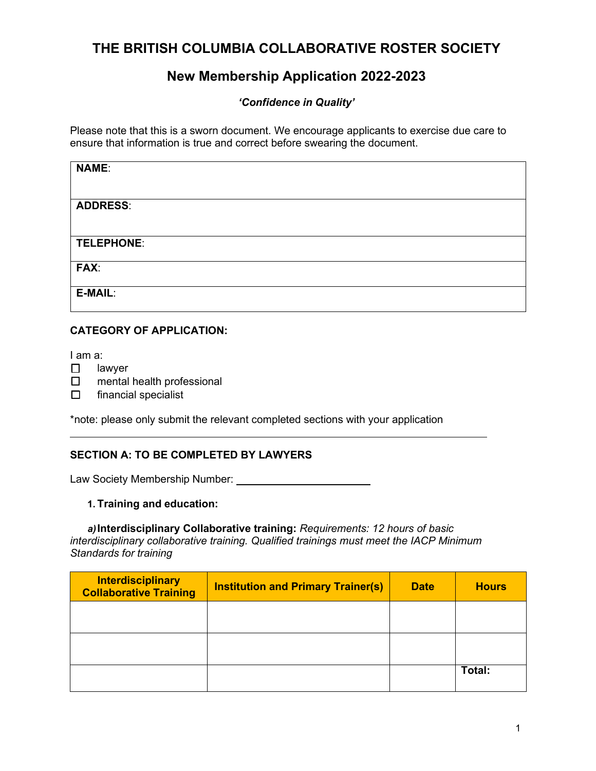# **THE BRITISH COLUMBIA COLLABORATIVE ROSTER SOCIETY**

# **New Membership Application 2022-2023**

## *'Confidence in Quality'*

Please note that this is a sworn document. We encourage applicants to exercise due care to ensure that information is true and correct before swearing the document.

| <b>NAME:</b>    |  |
|-----------------|--|
|                 |  |
| <b>ADDRESS:</b> |  |
|                 |  |
| TELEPHONE:      |  |
| FAX:            |  |
| E-MAIL:         |  |
|                 |  |

## **CATEGORY OF APPLICATION:**

I am a:

- ☐ lawyer
- ☐ mental health professional
- ☐ financial specialist

\*note: please only submit the relevant completed sections with your application

## **SECTION A: TO BE COMPLETED BY LAWYERS**

Law Society Membership Number:

## **1. Training and education:**

*a)***Interdisciplinary Collaborative training:** *Requirements: 12 hours of basic interdisciplinary collaborative training. Qualified trainings must meet the IACP Minimum Standards for training*

| <b>Interdisciplinary</b><br><b>Collaborative Training</b> | <b>Institution and Primary Trainer(s)</b> | <b>Date</b> | <b>Hours</b> |
|-----------------------------------------------------------|-------------------------------------------|-------------|--------------|
|                                                           |                                           |             |              |
|                                                           |                                           |             |              |
|                                                           |                                           |             | Total:       |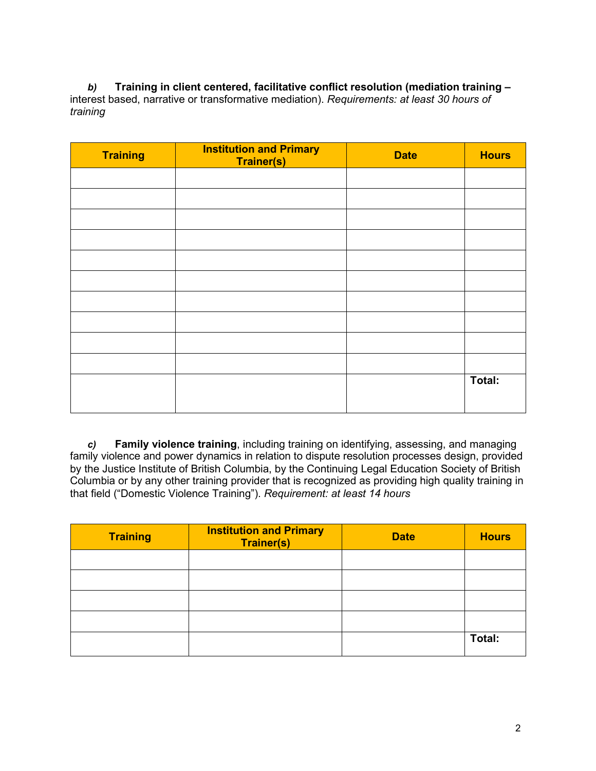*b)* **Training in client centered, facilitative conflict resolution (mediation training –**  interest based, narrative or transformative mediation). *Requirements: at least 30 hours of training*

| <b>Training</b> | <b>Institution and Primary</b><br><b>Trainer(s)</b> | <b>Date</b> | <b>Hours</b> |
|-----------------|-----------------------------------------------------|-------------|--------------|
|                 |                                                     |             |              |
|                 |                                                     |             |              |
|                 |                                                     |             |              |
|                 |                                                     |             |              |
|                 |                                                     |             |              |
|                 |                                                     |             |              |
|                 |                                                     |             |              |
|                 |                                                     |             |              |
|                 |                                                     |             |              |
|                 |                                                     |             |              |
|                 |                                                     |             | Total:       |
|                 |                                                     |             |              |

*c)* **Family violence training**, including training on identifying, assessing, and managing family violence and power dynamics in relation to dispute resolution processes design, provided by the Justice Institute of British Columbia, by the Continuing Legal Education Society of British Columbia or by any other training provider that is recognized as providing high quality training in that field ("Domestic Violence Training"). *Requirement: at least 14 hours*

| <b>Training</b> | <b>Institution and Primary</b><br><b>Trainer(s)</b> | <b>Date</b> | <b>Hours</b> |
|-----------------|-----------------------------------------------------|-------------|--------------|
|                 |                                                     |             |              |
|                 |                                                     |             |              |
|                 |                                                     |             |              |
|                 |                                                     |             |              |
|                 |                                                     |             | Total:       |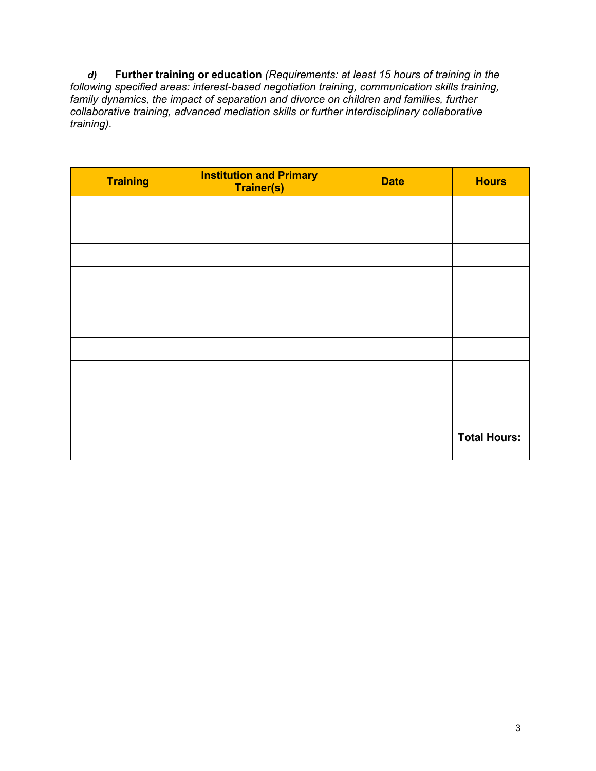*d)* **Further training or education** *(Requirements: at least 15 hours of training in the following specified areas: interest-based negotiation training, communication skills training, family dynamics, the impact of separation and divorce on children and families, further collaborative training, advanced mediation skills or further interdisciplinary collaborative training).*

| <b>Training</b> | <b>Institution and Primary</b><br><b>Trainer(s)</b> | <b>Date</b> | <b>Hours</b>        |
|-----------------|-----------------------------------------------------|-------------|---------------------|
|                 |                                                     |             |                     |
|                 |                                                     |             |                     |
|                 |                                                     |             |                     |
|                 |                                                     |             |                     |
|                 |                                                     |             |                     |
|                 |                                                     |             |                     |
|                 |                                                     |             |                     |
|                 |                                                     |             |                     |
|                 |                                                     |             |                     |
|                 |                                                     |             |                     |
|                 |                                                     |             | <b>Total Hours:</b> |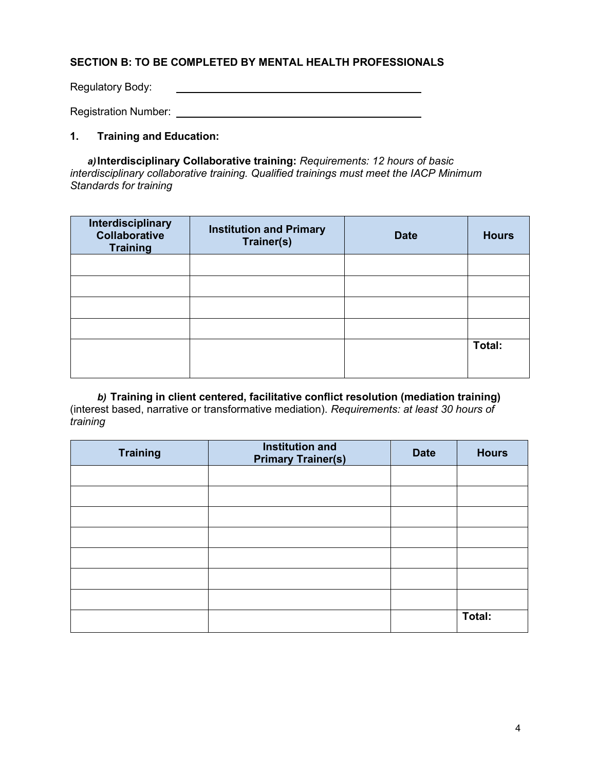### **SECTION B: TO BE COMPLETED BY MENTAL HEALTH PROFESSIONALS**

Regulatory Body:

Registration Number: University of the Contract of the Contract of the Contract of the Contract of the Contract of the Contract of the Contract of the Contract of the Contract of the Contract of the Contract of the Contrac

#### **1. Training and Education:**

*a)***Interdisciplinary Collaborative training:** *Requirements: 12 hours of basic interdisciplinary collaborative training. Qualified trainings must meet the IACP Minimum Standards for training*

| Interdisciplinary<br><b>Collaborative</b><br><b>Training</b> | <b>Institution and Primary</b><br>Trainer(s) | <b>Date</b> | <b>Hours</b> |
|--------------------------------------------------------------|----------------------------------------------|-------------|--------------|
|                                                              |                                              |             |              |
|                                                              |                                              |             |              |
|                                                              |                                              |             |              |
|                                                              |                                              |             |              |
|                                                              |                                              |             | Total:       |
|                                                              |                                              |             |              |

*b)* **Training in client centered, facilitative conflict resolution (mediation training)**  (interest based, narrative or transformative mediation). *Requirements: at least 30 hours of training*

| <b>Training</b> | <b>Institution and</b><br><b>Primary Trainer(s)</b> | <b>Date</b> | <b>Hours</b> |
|-----------------|-----------------------------------------------------|-------------|--------------|
|                 |                                                     |             |              |
|                 |                                                     |             |              |
|                 |                                                     |             |              |
|                 |                                                     |             |              |
|                 |                                                     |             |              |
|                 |                                                     |             |              |
|                 |                                                     |             |              |
|                 |                                                     |             | Total:       |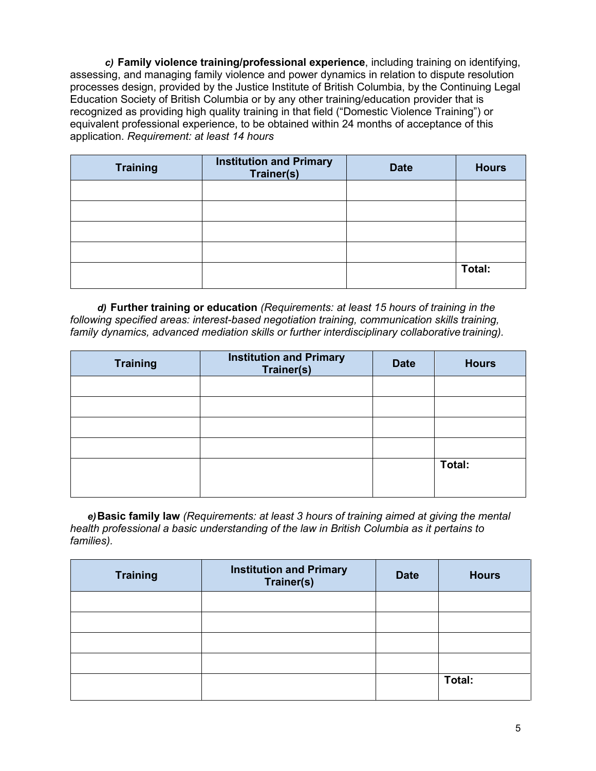*c)* **Family violence training/professional experience**, including training on identifying, assessing, and managing family violence and power dynamics in relation to dispute resolution processes design, provided by the Justice Institute of British Columbia, by the Continuing Legal Education Society of British Columbia or by any other training/education provider that is recognized as providing high quality training in that field ("Domestic Violence Training") or equivalent professional experience, to be obtained within 24 months of acceptance of this application. *Requirement: at least 14 hours*

| <b>Training</b> | <b>Institution and Primary</b><br>Trainer(s) | <b>Date</b> | <b>Hours</b> |
|-----------------|----------------------------------------------|-------------|--------------|
|                 |                                              |             |              |
|                 |                                              |             |              |
|                 |                                              |             |              |
|                 |                                              |             |              |
|                 |                                              |             | Total:       |

*d)* **Further training or education** *(Requirements: at least 15 hours of training in the following specified areas: interest-based negotiation training, communication skills training,*  family dynamics, advanced mediation skills or further interdisciplinary collaborative training).

| <b>Training</b> | <b>Institution and Primary</b><br>Trainer(s) | <b>Date</b> | <b>Hours</b> |
|-----------------|----------------------------------------------|-------------|--------------|
|                 |                                              |             |              |
|                 |                                              |             |              |
|                 |                                              |             |              |
|                 |                                              |             |              |
|                 |                                              |             | Total:       |
|                 |                                              |             |              |

*e)***Basic family law** *(Requirements: at least 3 hours of training aimed at giving the mental health professional a basic understanding of the law in British Columbia as it pertains to families).*

| <b>Institution and Primary</b><br>Trainer(s) | <b>Date</b> | <b>Hours</b> |
|----------------------------------------------|-------------|--------------|
|                                              |             |              |
|                                              |             |              |
|                                              |             |              |
|                                              |             |              |
|                                              |             | Total:       |
|                                              |             |              |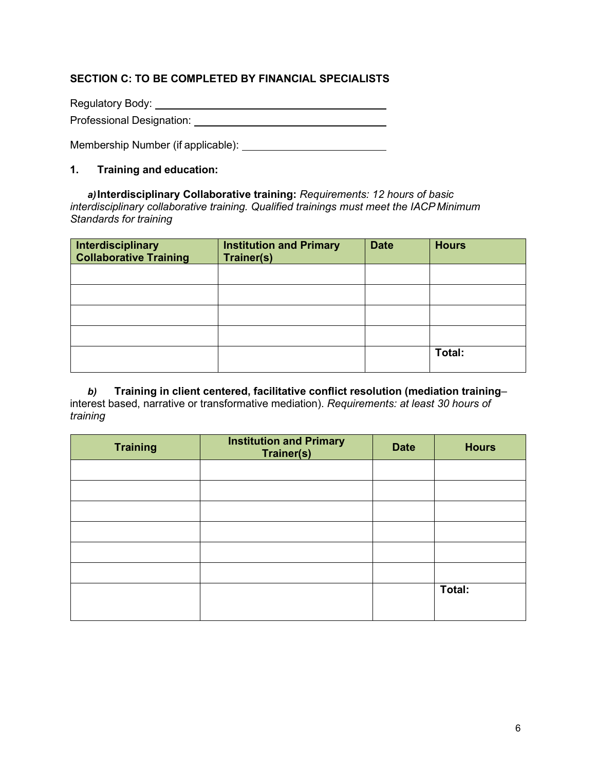## **SECTION C: TO BE COMPLETED BY FINANCIAL SPECIALISTS**

Regulatory Body:

Professional Designation: University of the Charles of the Charles of the Charles of the Charles of the Charles of the Charles of the Charles of the Charles of the Charles of the Charles of the Charles of the Charles of th

Membership Number (if applicable):

### **1. Training and education:**

*a)***Interdisciplinary Collaborative training:** *Requirements: 12 hours of basic interdisciplinary collaborative training. Qualified trainings must meet the IACP Minimum Standards for training*

| Interdisciplinary<br><b>Collaborative Training</b> | <b>Institution and Primary</b><br><b>Trainer(s)</b> | <b>Date</b> | <b>Hours</b> |
|----------------------------------------------------|-----------------------------------------------------|-------------|--------------|
|                                                    |                                                     |             |              |
|                                                    |                                                     |             |              |
|                                                    |                                                     |             |              |
|                                                    |                                                     |             |              |
|                                                    |                                                     |             | Total:       |

*b)* **Training in client centered, facilitative conflict resolution (mediation training**– interest based, narrative or transformative mediation). *Requirements: at least 30 hours of training*

| <b>Training</b> | <b>Institution and Primary</b><br>Trainer(s) | <b>Date</b> | <b>Hours</b> |
|-----------------|----------------------------------------------|-------------|--------------|
|                 |                                              |             |              |
|                 |                                              |             |              |
|                 |                                              |             |              |
|                 |                                              |             |              |
|                 |                                              |             |              |
|                 |                                              |             |              |
|                 |                                              |             | Total:       |
|                 |                                              |             |              |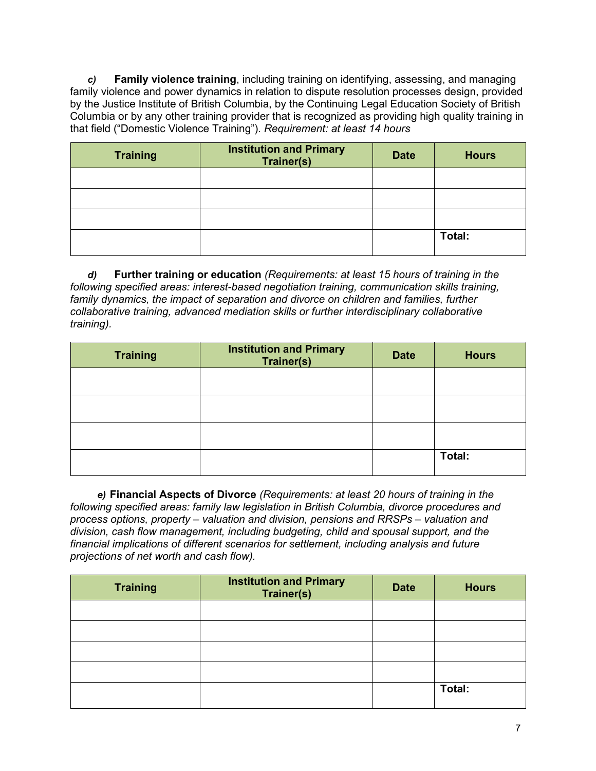*c)* **Family violence training**, including training on identifying, assessing, and managing family violence and power dynamics in relation to dispute resolution processes design, provided by the Justice Institute of British Columbia, by the Continuing Legal Education Society of British Columbia or by any other training provider that is recognized as providing high quality training in that field ("Domestic Violence Training"). *Requirement: at least 14 hours*

| <b>Training</b> | <b>Institution and Primary</b><br>Trainer(s) | <b>Date</b> | <b>Hours</b> |
|-----------------|----------------------------------------------|-------------|--------------|
|                 |                                              |             |              |
|                 |                                              |             |              |
|                 |                                              |             |              |
|                 |                                              |             | Total:       |

*d)* **Further training or education** *(Requirements: at least 15 hours of training in the following specified areas: interest-based negotiation training, communication skills training, family dynamics, the impact of separation and divorce on children and families, further collaborative training, advanced mediation skills or further interdisciplinary collaborative training).*

| <b>Training</b> | <b>Institution and Primary</b><br>Trainer(s) | <b>Date</b> | <b>Hours</b> |
|-----------------|----------------------------------------------|-------------|--------------|
|                 |                                              |             |              |
|                 |                                              |             |              |
|                 |                                              |             |              |
|                 |                                              |             | Total:       |

*e)* **Financial Aspects of Divorce** *(Requirements: at least 20 hours of training in the following specified areas: family law legislation in British Columbia, divorce procedures and process options, property – valuation and division, pensions and RRSPs – valuation and division, cash flow management, including budgeting, child and spousal support, and the financial implications of different scenarios for settlement, including analysis and future projections of net worth and cash flow).*

| <b>Institution and Primary</b><br>Trainer(s) | <b>Date</b> | <b>Hours</b> |
|----------------------------------------------|-------------|--------------|
|                                              |             |              |
|                                              |             |              |
|                                              |             |              |
|                                              |             |              |
|                                              |             | Total:       |
|                                              |             |              |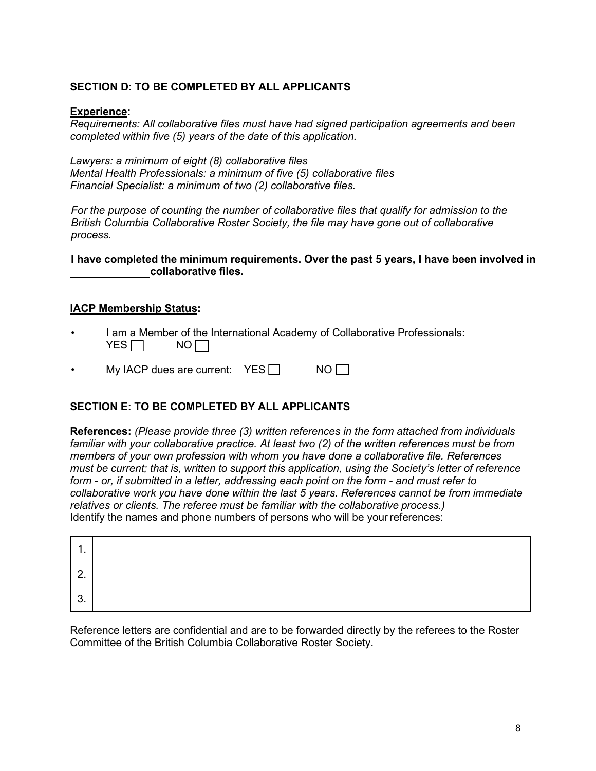## **SECTION D: TO BE COMPLETED BY ALL APPLICANTS**

#### **Experience:**

*Requirements: All collaborative files must have had signed participation agreements and been completed within five (5) years of the date of this application.*

*Lawyers: a minimum of eight (8) collaborative files Mental Health Professionals: a minimum of five (5) collaborative files Financial Specialist: a minimum of two (2) collaborative files.*

*For the purpose of counting the number of collaborative files that qualify for admission to the British Columbia Collaborative Roster Society, the file may have gone out of collaborative process.*

**I have completed the minimum requirements. Over the past 5 years, I have been involved in collaborative files.**

#### **IACP Membership Status:**

I am a Member of the International Academy of Collaborative Professionals:<br>YES $\Box$  NO $\Box$ YES  $\Box$ 

My IACP dues are current:  $YES \Box$  NO  $\Pi$ 

#### **SECTION E: TO BE COMPLETED BY ALL APPLICANTS**

**References:** *(Please provide three (3) written references in the form attached from individuals familiar with your collaborative practice. At least two (2) of the written references must be from members of your own profession with whom you have done a collaborative file. References must be current; that is, written to support this application, using the Society's letter of reference form - or, if submitted in a letter, addressing each point on the form - and must refer to collaborative work you have done within the last 5 years. References cannot be from immediate relatives or clients. The referee must be familiar with the collaborative process.)*  Identify the names and phone numbers of persons who will be your references:

| ◠<br>J. |  |
|---------|--|

Reference letters are confidential and are to be forwarded directly by the referees to the Roster Committee of the British Columbia Collaborative Roster Society.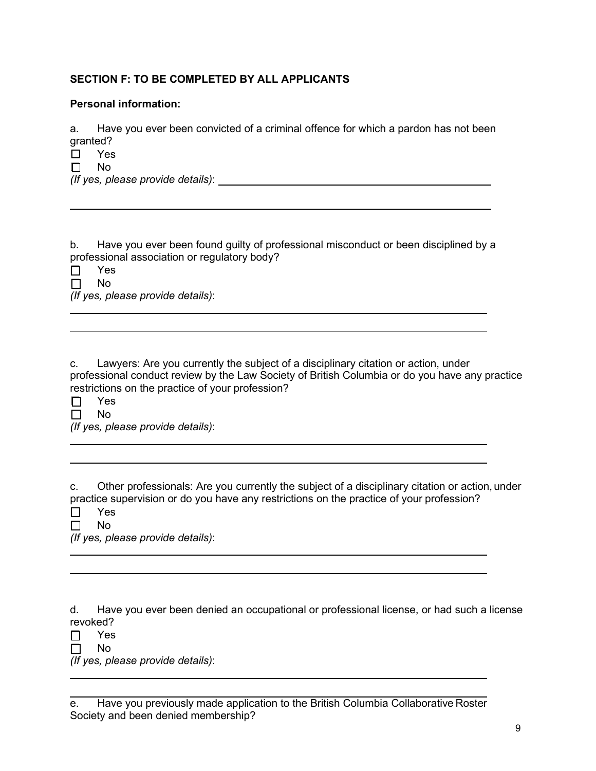## **SECTION F: TO BE COMPLETED BY ALL APPLICANTS**

#### **Personal information:**

a. Have you ever been convicted of a criminal offence for which a pardon has not been granted?

☐ Yes

☐ No

*(If yes, please provide details)*:

b. Have you ever been found guilty of professional misconduct or been disciplined by a professional association or regulatory body?

☐ Yes ☐ No

*(If yes, please provide details)*:

c. Lawyers: Are you currently the subject of a disciplinary citation or action, under professional conduct review by the Law Society of British Columbia or do you have any practice restrictions on the practice of your profession?

☐ Yes

☐ No

*(If yes, please provide details)*:

c. Other professionals: Are you currently the subject of a disciplinary citation or action, under practice supervision or do you have any restrictions on the practice of your profession? ☐ Yes

☐ No

*(If yes, please provide details)*:

d. Have you ever been denied an occupational or professional license, or had such a license revoked?

☐ Yes

☐ No

*(If yes, please provide details)*:

| e. Have you previously made application to the British Columbia Collaborative Roster |
|--------------------------------------------------------------------------------------|
| Society and been denied membership?                                                  |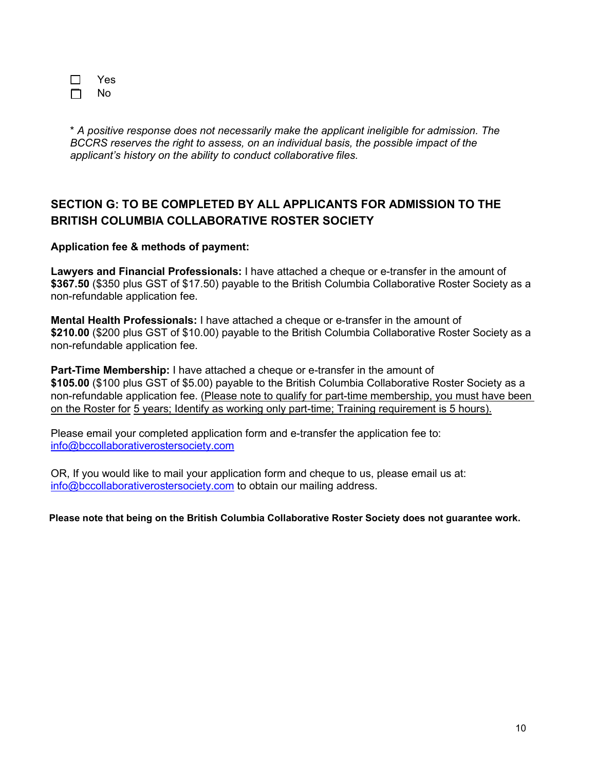| Yes |  |
|-----|--|
| N٥  |  |

\* *A positive response does not necessarily make the applicant ineligible for admission. The BCCRS reserves the right to assess, on an individual basis, the possible impact of the applicant's history on the ability to conduct collaborative files.*

## **SECTION G: TO BE COMPLETED BY ALL APPLICANTS FOR ADMISSION TO THE BRITISH COLUMBIA COLLABORATIVE ROSTER SOCIETY**

## **Application fee & methods of payment:**

**Lawyers and Financial Professionals:** I have attached a cheque or e-transfer in the amount of **\$367.50** (\$350 plus GST of \$17.50) payable to the British Columbia Collaborative Roster Society as a non-refundable application fee.

**Mental Health Professionals:** I have attached a cheque or e-transfer in the amount of **\$210.00** (\$200 plus GST of \$10.00) payable to the British Columbia Collaborative Roster Society as a non-refundable application fee.

**Part-Time Membership:** I have attached a cheque or e-transfer in the amount of **\$105.00** (\$100 plus GST of \$5.00) payable to the British Columbia Collaborative Roster Society as a non-refundable [application fee. \(Please note to qualify for pa](mailto:info@bccollaborativerostersociety.com)rt-time membership, you must have been on the Roster for 5 years; Identify as working only part-time; Training requirement is 5 hours).

Please email your completed application form and e-transfer the application fee to: [info@bccollaborativerostersociety.com](mailto:info@bccollaborativerostersociety.com)

OR, If you would like to mail your application form and cheque to us, please email us at: [info@bccollaborativerostersociety.com](mailto:info@bccollaborativerostersociety.com) to obtain our mailing address.

**Please note that being on the British Columbia Collaborative Roster Society does not guarantee work.**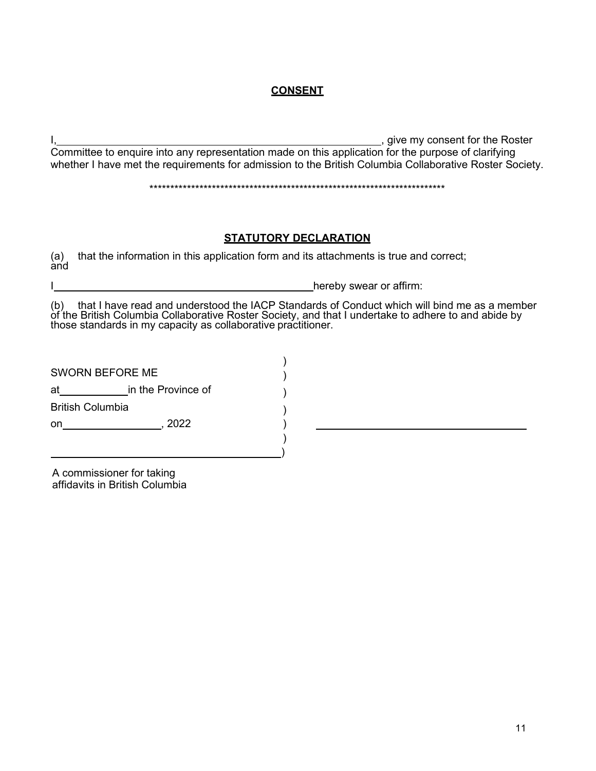## **CONSENT**

I, 1, 2008 and the Roster method is a state of the Roster method in the Roster method is a state of the Roster Committee to enquire into any representation made on this application for the purpose of clarifying whether I have met the requirements for admission to the British Columbia Collaborative Roster Society.

\*\*\*\*\*\*\*\*\*\*\*\*\*\*\*\*\*\*\*\*\*\*\*\*\*\*\*\*\*\*\*\*\*\*\*\*\*\*\*\*\*\*\*\*\*\*\*\*\*\*\*\*\*\*\*\*\*\*\*\*\*\*\*\*\*\*\*\*\*\*\*

## **STATUTORY DECLARATION**

(a) that the information in this application form and its attachments is true and correct; and

hereby swear or affirm:

(b) that I have read and understood the IACP Standards of Conduct which will bind me as a member of the British Columbia Collaborative Roster Society, and that I undertake to adhere to and abide by those standards in my capacity as collaborative practitioner.

| <b>SWORN BEFORE ME</b>  |                    |  |
|-------------------------|--------------------|--|
| at                      | in the Province of |  |
| <b>British Columbia</b> |                    |  |
| on                      | 2022               |  |
|                         |                    |  |
|                         |                    |  |

A commissioner for taking affidavits in British Columbia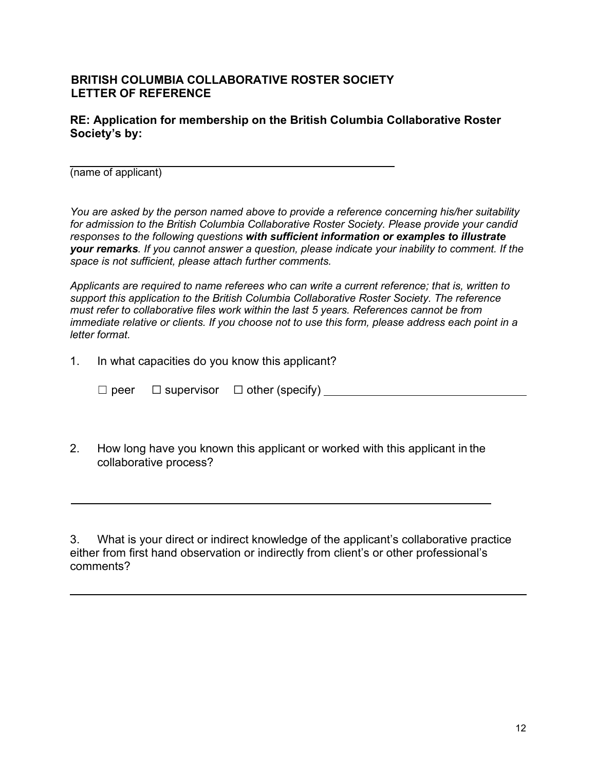## **BRITISH COLUMBIA COLLABORATIVE ROSTER SOCIETY LETTER OF REFERENCE**

**RE: Application for membership on the British Columbia Collaborative Roster Society's by:**

(name of applicant)

 $\overline{a}$ 

 $\overline{a}$ 

*You are asked by the person named above to provide a reference concerning his/her suitability for admission to the British Columbia Collaborative Roster Society. Please provide your candid responses to the following questions with sufficient information or examples to illustrate your remarks. If you cannot answer a question, please indicate your inability to comment. If the space is not sufficient, please attach further comments.*

*Applicants are required to name referees who can write a current reference; that is, written to support this application to the British Columbia Collaborative Roster Society. The reference must refer to collaborative files work within the last 5 years. References cannot be from immediate relative or clients. If you choose not to use this form, please address each point in a letter format.*

1. In what capacities do you know this applicant?

☐ peer ☐ supervisor ☐ other (specify)

2. How long have you known this applicant or worked with this applicant in the collaborative process?

3. What is your direct or indirect knowledge of the applicant's collaborative practice either from first hand observation or indirectly from client's or other professional's comments?